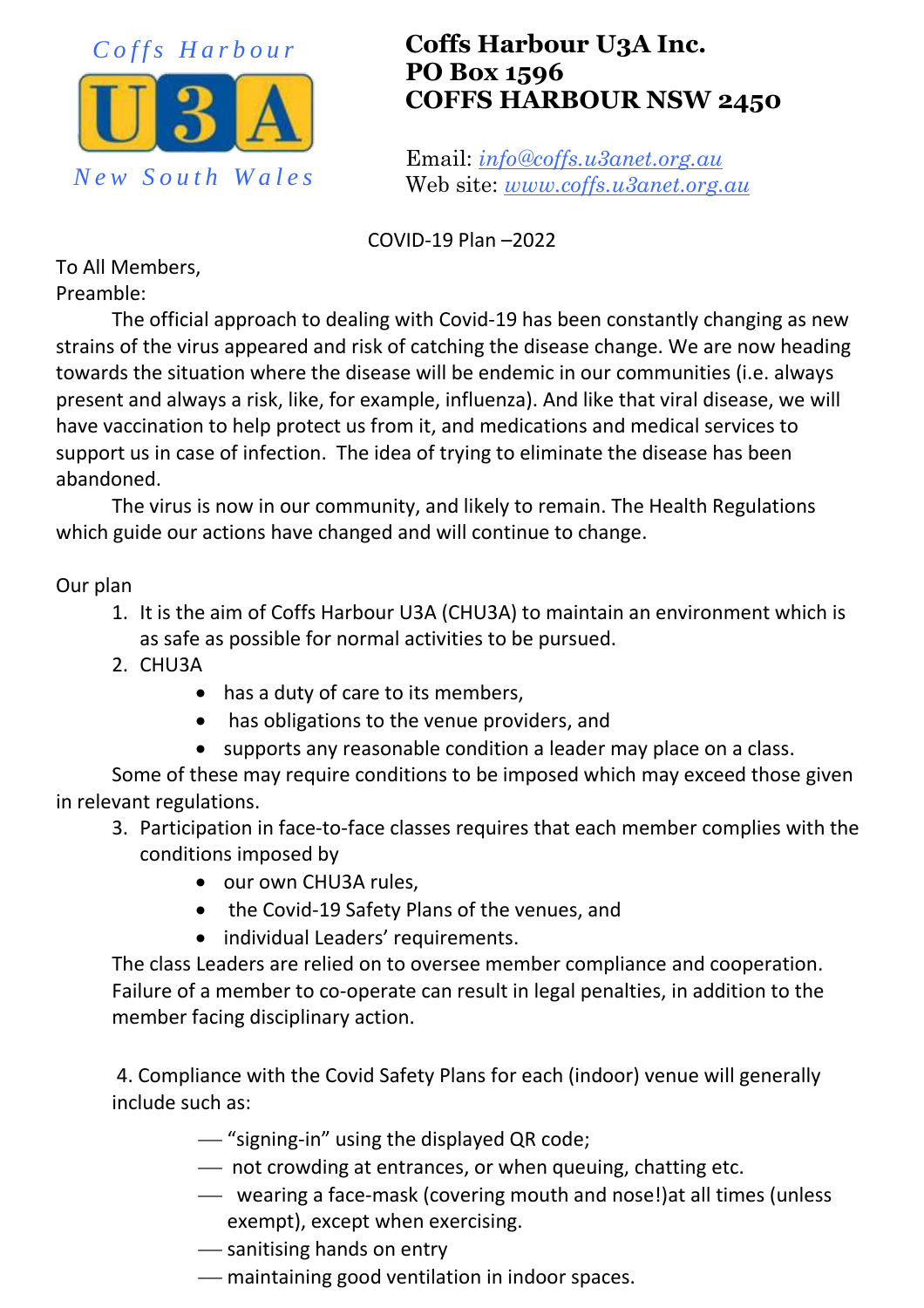

## **Coffs Harbour U3A Inc. PO Box 1596 COFFS HARBOUR NSW 2450**

Email: *info@coffs.u3anet.org.au* Web site: *www.coffs.u3anet.org.au*

COVID-19 Plan –2022

To All Members, Preamble:

The official approach to dealing with Covid-19 has been constantly changing as new strains of the virus appeared and risk of catching the disease change. We are now heading towards the situation where the disease will be endemic in our communities (i.e. always present and always a risk, like, for example, influenza). And like that viral disease, we will have vaccination to help protect us from it, and medications and medical services to support us in case of infection. The idea of trying to eliminate the disease has been abandoned.

The virus is now in our community, and likely to remain. The Health Regulations which guide our actions have changed and will continue to change.

Our plan

- 1. It is the aim of Coffs Harbour U3A (CHU3A) to maintain an environment which is as safe as possible for normal activities to be pursued.
- 2. CHU3A
	- has a duty of care to its members,
	- has obligations to the venue providers, and
	- supports any reasonable condition a leader may place on a class.

Some of these may require conditions to be imposed which may exceed those given in relevant regulations.

- 3. Participation in face-to-face classes requires that each member complies with the conditions imposed by
	- our own CHU3A rules,
	- the Covid-19 Safety Plans of the venues, and
	- individual Leaders' requirements.

The class Leaders are relied on to oversee member compliance and cooperation. Failure of a member to co-operate can result in legal penalties, in addition to the member facing disciplinary action.

4. Compliance with the Covid Safety Plans for each (indoor) venue will generally include such as:

- "signing-in" using the displayed QR code;
- not crowding at entrances, or when queuing, chatting etc.
- wearing a face-mask (covering mouth and nose!)at all times (unless exempt), except when exercising.
- sanitising hands on entry
- maintaining good ventilation in indoor spaces.